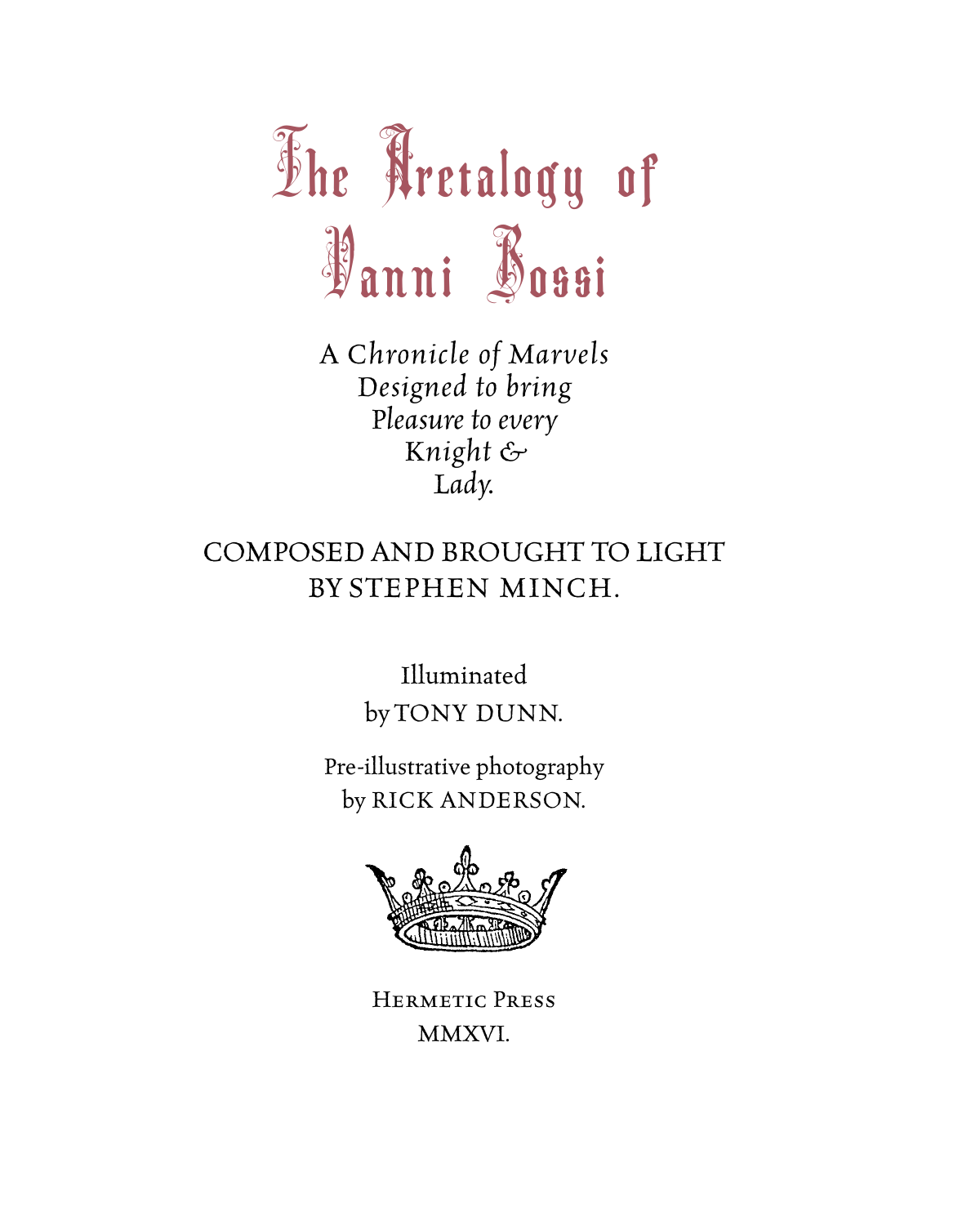

*A Chronicle of Marvels Designed to bring Pleasure to every Knight & Lady.*

# COMPOSED AND BROUGHT TO LIGHT BY STEPHEN MINCH.

Illuminated by TONY DUNN.

Pre-illustrative photography by RICK ANDERSON.



Hermetic Press MMXVI.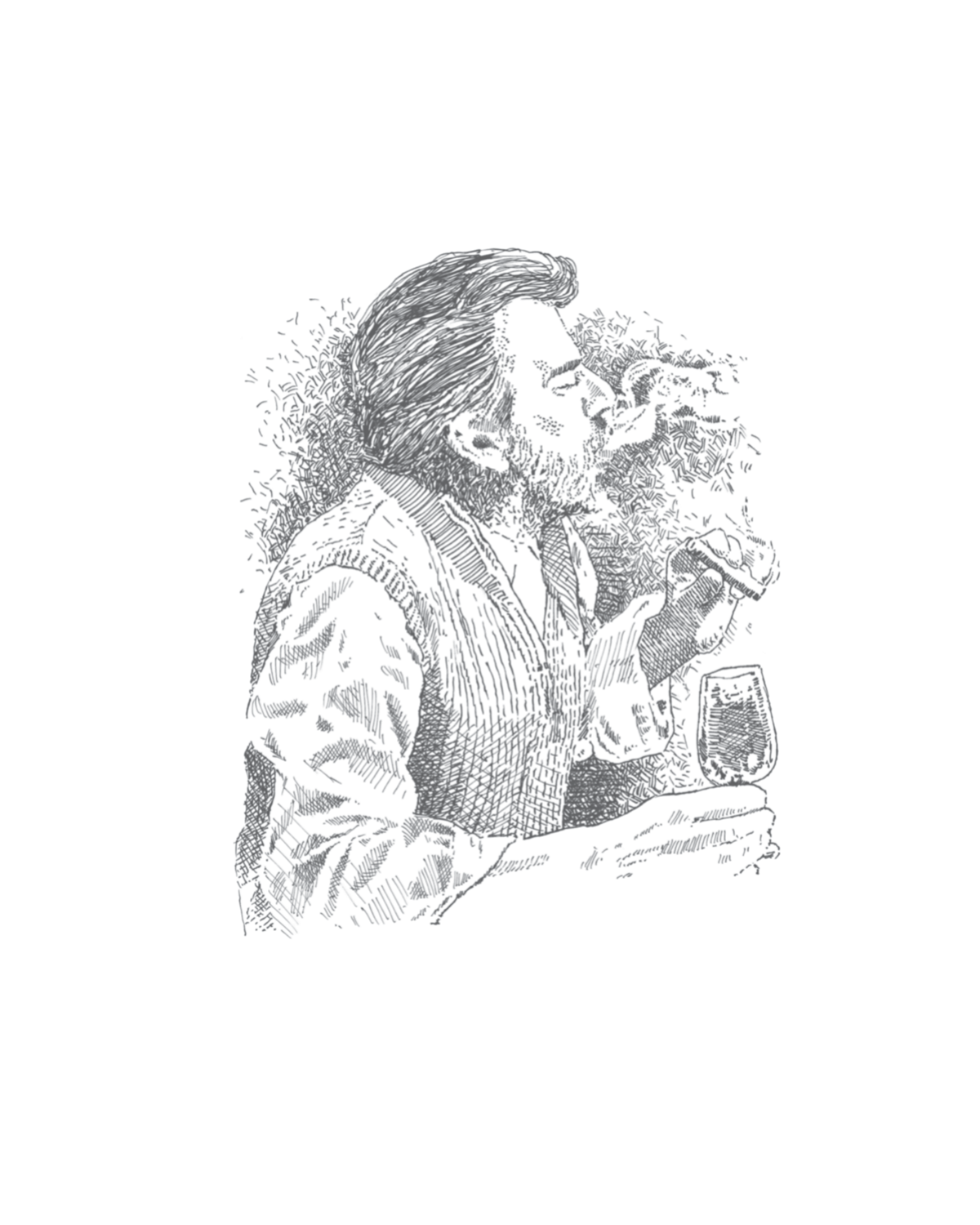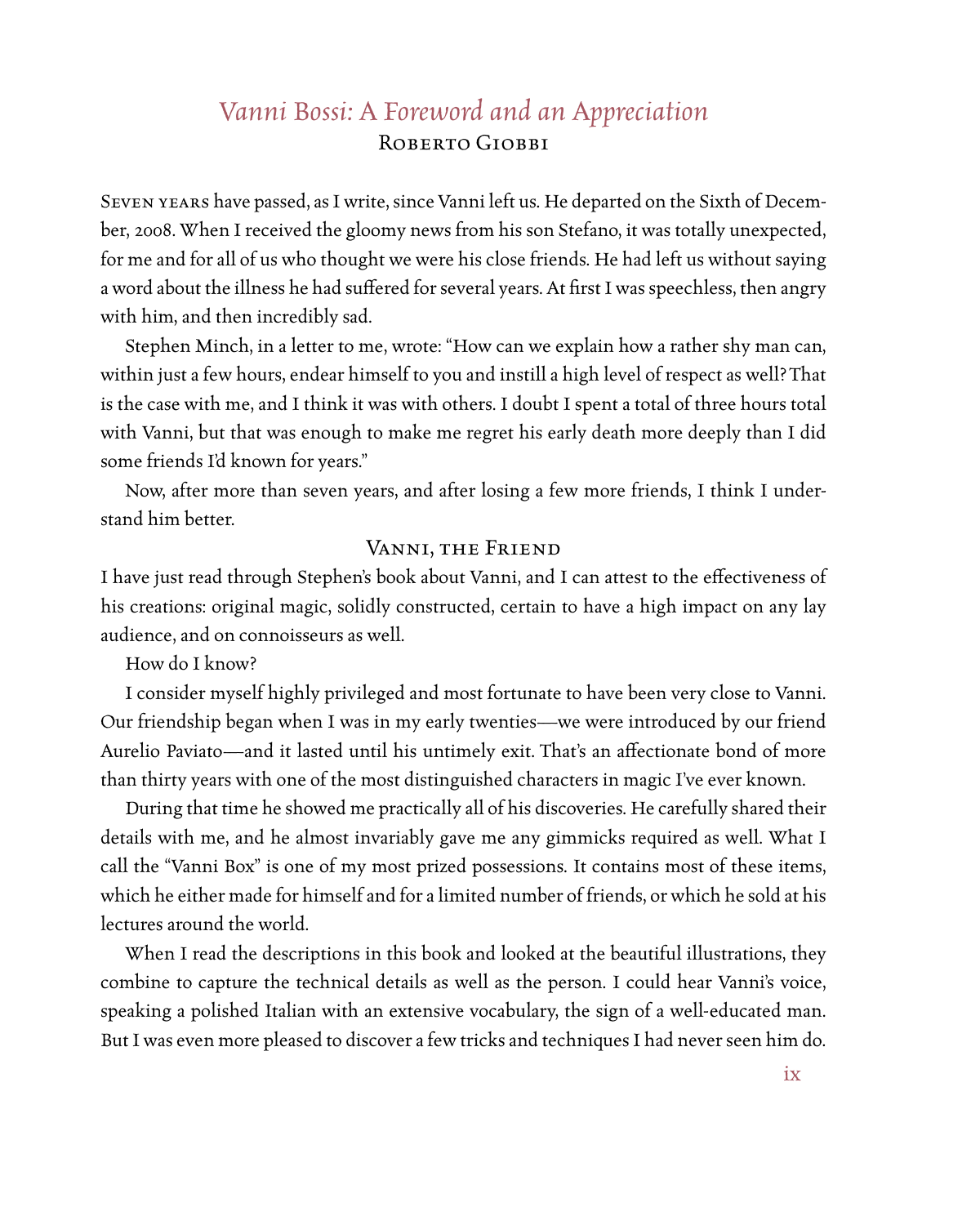## *Vanni Bossi: A Foreword and an Appreciation* ROBERTO GIOBBI

Seven years have passed, as I write, since Vanni left us. He departed on the Sixth of December, 2008. When I received the gloomy news from his son Stefano, it was totally unexpected, for me and for all of us who thought we were his close friends. He had left us without saying a word about the illness he had suffered for several years. At first I was speechless, then angry with him, and then incredibly sad.

Stephen Minch, in a letter to me, wrote: "How can we explain how a rather shy man can, within just a few hours, endear himself to you and instill a high level of respect as well? That is the case with me, and I think it was with others. I doubt I spent a total of three hours total with Vanni, but that was enough to make me regret his early death more deeply than I did some friends I'd known for years."

Now, after more than seven years, and after losing a few more friends, I think I understand him better.

#### Vanni, the Friend

I have just read through Stephen's book about Vanni, and I can attest to the effectiveness of his creations: original magic, solidly constructed, certain to have a high impact on any lay audience, and on connoisseurs as well.

How do I know?

I consider myself highly privileged and most fortunate to have been very close to Vanni. Our friendship began when I was in my early twenties—we were introduced by our friend Aurelio Paviato—and it lasted until his untimely exit. That's an affectionate bond of more than thirty years with one of the most distinguished characters in magic I've ever known.

During that time he showed me practically all of his discoveries. He carefully shared their details with me, and he almost invariably gave me any gimmicks required as well. What I call the "Vanni Box" is one of my most prized possessions. It contains most of these items, which he either made for himself and for a limited number of friends, or which he sold at his lectures around the world.

When I read the descriptions in this book and looked at the beautiful illustrations, they combine to capture the technical details as well as the person. I could hear Vanni's voice, speaking a polished Italian with an extensive vocabulary, the sign of a well-educated man. But I was even more pleased to discover a few tricks and techniques I had never seen him do.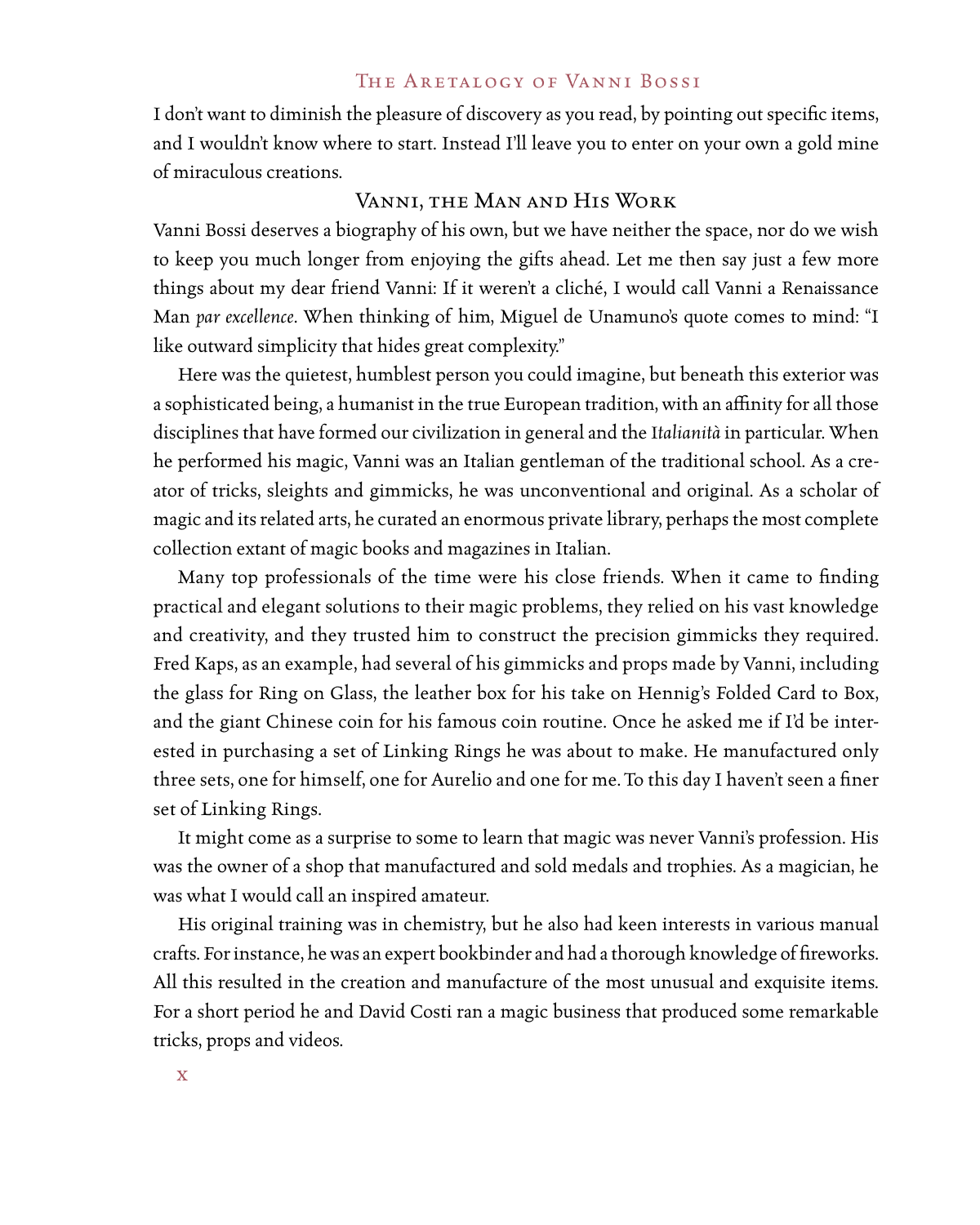#### The Aretalogy of Vanni Bossi

I don't want to diminish the pleasure of discovery as you read, by pointing out specific items, and I wouldn't know where to start. Instead I'll leave you to enter on your own a gold mine of miraculous creations.

#### Vanni, the Man and His Work

Vanni Bossi deserves a biography of his own, but we have neither the space, nor do we wish to keep you much longer from enjoying the gifts ahead. Let me then say just a few more things about my dear friend Vanni: If it weren't a cliché, I would call Vanni a Renaissance Man *par excellence*. When thinking of him, Miguel de Unamuno's quote comes to mind: "I like outward simplicity that hides great complexity."

Here was the quietest, humblest person you could imagine, but beneath this exterior was a sophisticated being, a humanist in the true European tradition, with an affinity for all those disciplines that have formed our civilization in general and the *Italianità* in particular. When he performed his magic, Vanni was an Italian gentleman of the traditional school. As a creator of tricks, sleights and gimmicks, he was unconventional and original. As a scholar of magic and its related arts, he curated an enormous private library, perhaps the most complete collection extant of magic books and magazines in Italian.

Many top professionals of the time were his close friends. When it came to finding practical and elegant solutions to their magic problems, they relied on his vast knowledge and creativity, and they trusted him to construct the precision gimmicks they required. Fred Kaps, as an example, had several of his gimmicks and props made by Vanni, including the glass for Ring on Glass, the leather box for his take on Hennig's Folded Card to Box, and the giant Chinese coin for his famous coin routine. Once he asked me if I'd be interested in purchasing a set of Linking Rings he was about to make. He manufactured only three sets, one for himself, one for Aurelio and one for me. To this day I haven't seen a finer set of Linking Rings.

It might come as a surprise to some to learn that magic was never Vanni's profession. His was the owner of a shop that manufactured and sold medals and trophies. As a magician, he was what I would call an inspired amateur.

His original training was in chemistry, but he also had keen interests in various manual crafts. For instance, he was an expert bookbinder and had a thorough knowledge of fireworks. All this resulted in the creation and manufacture of the most unusual and exquisite items. For a short period he and David Costi ran a magic business that produced some remarkable tricks, props and videos.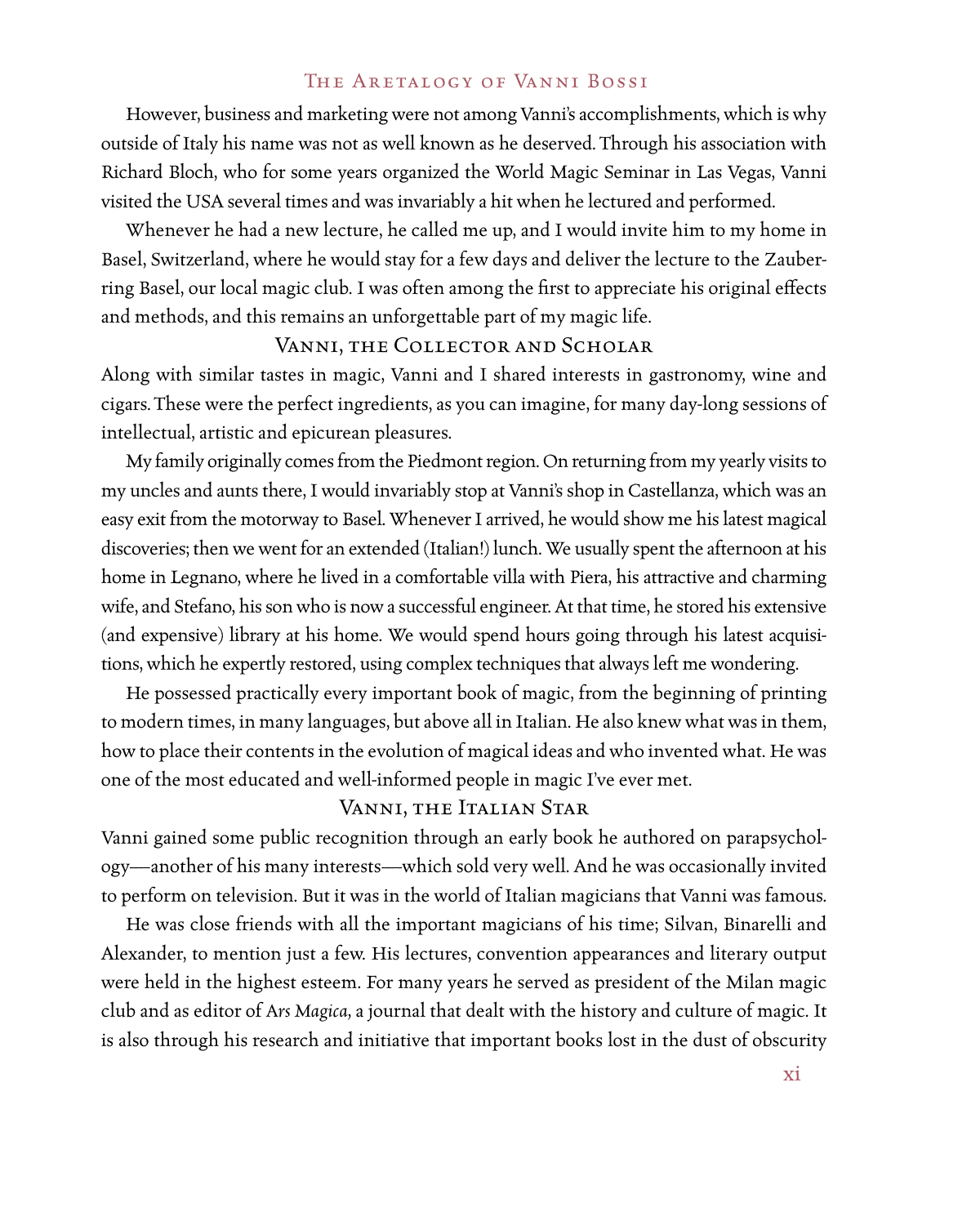#### The Aretalogy of Vanni Bossi

However, business and marketing were not among Vanni's accomplishments, which is why outside of Italy his name was not as well known as he deserved. Through his association with Richard Bloch, who for some years organized the World Magic Seminar in Las Vegas, Vanni visited the USA several times and was invariably a hit when he lectured and performed.

Whenever he had a new lecture, he called me up, and I would invite him to my home in Basel, Switzerland, where he would stay for a few days and deliver the lecture to the Zauberring Basel, our local magic club. I was often among the first to appreciate his original effects and methods, and this remains an unforgettable part of my magic life.

#### Vanni, the Collector and Scholar

Along with similar tastes in magic, Vanni and I shared interests in gastronomy, wine and cigars. These were the perfect ingredients, as you can imagine, for many day-long sessions of intellectual, artistic and epicurean pleasures.

My family originally comes from the Piedmont region. On returning from my yearly visits to my uncles and aunts there, I would invariably stop at Vanni's shop in Castellanza, which was an easy exit from the motorway to Basel. Whenever I arrived, he would show me his latest magical discoveries; then we went for an extended (Italian!) lunch. We usually spent the afternoon at his home in Legnano, where he lived in a comfortable villa with Piera, his attractive and charming wife, and Stefano, his son who is now a successful engineer. At that time, he stored his extensive (and expensive) library at his home. We would spend hours going through his latest acquisitions, which he expertly restored, using complex techniques that always left me wondering.

He possessed practically every important book of magic, from the beginning of printing to modern times, in many languages, but above all in Italian. He also knew what was in them, how to place their contents in the evolution of magical ideas and who invented what. He was one of the most educated and well-informed people in magic I've ever met.

#### Vanni, the Italian Star

Vanni gained some public recognition through an early book he authored on parapsychology—another of his many interests—which sold very well. And he was occasionally invited to perform on television. But it was in the world of Italian magicians that Vanni was famous.

He was close friends with all the important magicians of his time; Silvan, Binarelli and Alexander, to mention just a few. His lectures, convention appearances and literary output were held in the highest esteem. For many years he served as president of the Milan magic club and as editor of *Ars Magica,* a journal that dealt with the history and culture of magic. It is also through his research and initiative that important books lost in the dust of obscurity